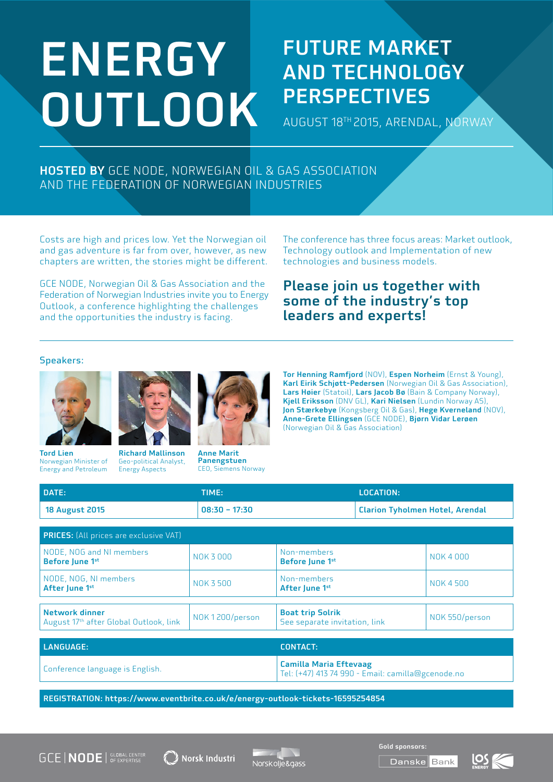# ENERGY OUTLOOK

### FUTURE MARKET AND TECHNOLOGY **PERSPECTIVES**

AUGUST 18TH 2015, ARENDAL, NORWAY

#### HOSTED BY GCE NODE, NORWEGIAN OIL & GAS ASSOCIATION AND THE FEDERATION OF NORWEGIAN INDUSTRIES

Costs are high and prices low. Yet the Norwegian oil and gas adventure is far from over, however, as new chapters are written, the stories might be different.

GCE NODE, Norwegian Oil & Gas Association and the Federation of Norwegian Industries invite you to Energy Outlook, a conference highlighting the challenges and the opportunities the industry is facing.

The conference has three focus areas: Market outlook, Technology outlook and Implementation of new technologies and business models.

#### Please join us together with some of the industry's top leaders and experts!

#### Speakers:



Tord Lien Norwegian Minister of Energy and Petroleum



Richard Mallinson Geo-political Analyst, Energy Aspects

Tor Henning Ramfjord (NOV), Espen Norheim (Ernst & Young), Karl Eirik Schjøtt-Pedersen (Norwegian Oil & Gas Association), Lars Høier (Statoil), Lars Jacob Bø (Bain & Company Norway), Kjell Eriksson (DNV GL), Kari Nielsen (Lundin Norway AS), Jon Stærkebye (Kongsberg Oil & Gas), Hege Kverneland (NOV), Anne-Grete Ellingsen (GCE NODE), Bjørn Vidar Lerøen (Norwegian Oil & Gas Association)

| DATE:                 | <b>TIME:</b>    | <b>LOCATION:</b>                       |
|-----------------------|-----------------|----------------------------------------|
| <b>18 August 2015</b> | $08:30 - 17:30$ | <b>Clarion Tyholmen Hotel, Arendal</b> |

| <b>PRICES:</b> (All prices are exclusive VAT)                        |                |                                                                    |                |
|----------------------------------------------------------------------|----------------|--------------------------------------------------------------------|----------------|
| NODE, NOG and NI members<br>Before June 1st                          | NOK 3000       | Non-members<br>Before June 1 <sup>st</sup>                         | NOK 4000       |
| NODE, NOG, NI members<br>After June 1st                              | NOK 3 500      | Non-members<br>After June 1st                                      | NOK 4 500      |
|                                                                      |                |                                                                    |                |
| Network dinner<br>August 17 <sup>th</sup> after Global Outlook, link | NOK1200/person | <b>Boat trip Solrik</b><br>See separate invitation, link           | NOK 550/person |
|                                                                      |                |                                                                    |                |
| <b>LANGUAGE:</b>                                                     |                | <b>CONTACT:</b>                                                    |                |
| Conference language is English.                                      |                | <b>Camilla Maria Eftevaag</b><br>$T = (1.47)$ $147.74000$ $T = 11$ |                |

Tel: (+47) 413 74 990 - Email: camilla@gcenode.no

REGISTRATION: https://www.eventbrite.co.uk/e/energy-outlook-tickets-16595254854

Panengstuen CEO, Siemens Norway





Gold sponsors: